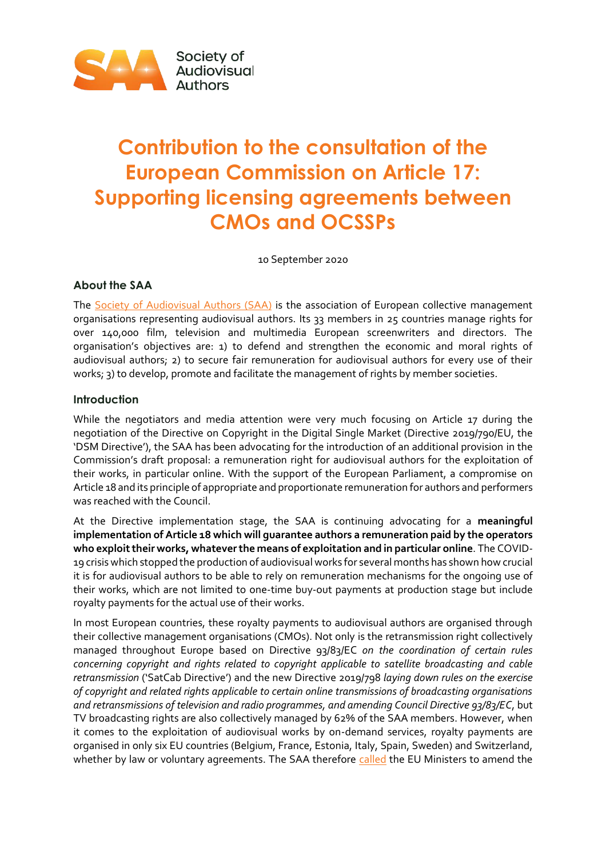

# **Contribution to the consultation of the European Commission on Article 17: Supporting licensing agreements between CMOs and OCSSPs**

10 September 2020

# **About the SAA**

The [Society of Audiovisual Authors \(SAA\)](https://www.saa-authors.eu/en#.XzvkRqfis2y) is the association of European collective management organisations representing audiovisual authors. Its 33 members in 25 countries manage rights for over 140,000 film, television and multimedia European screenwriters and directors. The organisation's objectives are: 1) to defend and strengthen the economic and moral rights of audiovisual authors; 2) to secure fair remuneration for audiovisual authors for every use of their works; 3) to develop, promote and facilitate the management of rights by member societies.

## **Introduction**

While the negotiators and media attention were very much focusing on Article 17 during the negotiation of the Directive on Copyright in the Digital Single Market (Directive 2019/790/EU, the 'DSM Directive'), the SAA has been advocating for the introduction of an additional provision in the Commission's draft proposal: a remuneration right for audiovisual authors for the exploitation of their works, in particular online. With the support of the European Parliament, a compromise on Article 18 and its principle of appropriate and proportionate remuneration for authors and performers was reached with the Council.

At the Directive implementation stage, the SAA is continuing advocating for a **meaningful implementation of Article 18 which will guarantee authors a remuneration paid by the operators who exploittheir works, whatever the means of exploitation and in particular online**. The COVID-19 crisis which stopped the production of audiovisual works for several months has shown how crucial it is for audiovisual authors to be able to rely on remuneration mechanisms for the ongoing use of their works, which are not limited to one-time buy-out payments at production stage but include royalty payments for the actual use of their works.

In most European countries, these royalty payments to audiovisual authors are organised through their collective management organisations (CMOs). Not only is the retransmission right collectively managed throughout Europe based on Directive 93/83/EC *on the coordination of certain rules concerning copyright and rights related to copyright applicable to satellite broadcasting and cable retransmission* ('SatCab Directive') and the new Directive 2019/798 *laying down rules on the exercise of copyright and related rights applicable to certain online transmissions of broadcasting organisations and retransmissions of television and radio programmes, and amending Council Directive 93/83/EC*, but TV broadcasting rights are also collectively managed by 62% of the SAA members. However, when it comes to the exploitation of audiovisual works by on-demand services, royalty payments are organised in only six EU countries (Belgium, France, Estonia, Italy, Spain, Sweden) and Switzerland, whether by law or voluntary agreements. The SAA therefore [called](https://www.saa-authors.eu/en/news/659-letter-to-eu-ministers-implement-the-copyright-directive-to-fit-modern-day-consumption-of-audiovisual-works#.X0O72TU6-Ul) the EU Ministers to amend the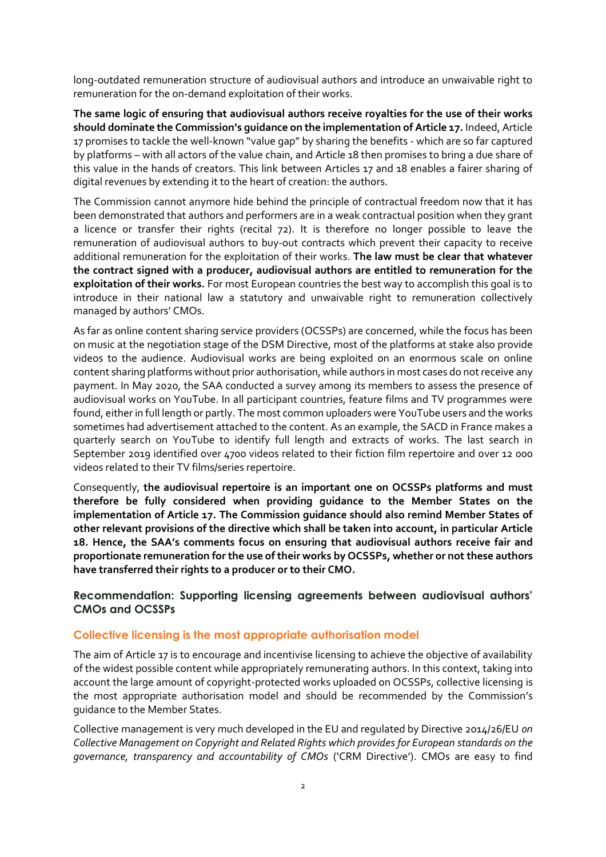long-outdated remuneration structure of audiovisual authors and introduce an unwaivable right to remuneration for the on-demand exploitation of their works.

**The same logic of ensuring that audiovisual authors receive royalties for the use of their works should dominate the Commission's guidance on the implementation of Article 17.** Indeed, Article 17 promises to tackle the well-known "value gap" by sharing the benefits - which are so far captured by platforms – with all actors of the value chain, and Article 18 then promises to bring a due share of this value in the hands of creators. This link between Articles 17 and 18 enables a fairer sharing of digital revenues by extending it to the heart of creation: the authors.

The Commission cannot anymore hide behind the principle of contractual freedom now that it has been demonstrated that authors and performers are in a weak contractual position when they grant a licence or transfer their rights (recital 72). It is therefore no longer possible to leave the remuneration of audiovisual authors to buy-out contracts which prevent their capacity to receive additional remuneration for the exploitation of their works. **The law must be clear that whatever the contract signed with a producer, audiovisual authors are entitled to remuneration for the exploitation of their works.** For most European countries the best way to accomplish this goal is to introduce in their national law a statutory and unwaivable right to remuneration collectively managed by authors' CMOs.

As far as online content sharing service providers (OCSSPs) are concerned, while the focus has been on music at the negotiation stage of the DSM Directive, most of the platforms at stake also provide videos to the audience. Audiovisual works are being exploited on an enormous scale on online content sharing platforms without prior authorisation, while authors in most cases do not receive any payment. In May 2020, the SAA conducted a survey among its members to assess the presence of audiovisual works on YouTube. In all participant countries, feature films and TV programmes were found, either in full length or partly. The most common uploaders were YouTube users and the works sometimes had advertisement attached to the content. As an example, the SACD in France makes a quarterly search on YouTube to identify full length and extracts of works. The last search in September 2019 identified over 4700 videos related to their fiction film repertoire and over 12 000 videos related to their TV films/series repertoire.

Consequently, **the audiovisual repertoire is an important one on OCSSPs platforms and must therefore be fully considered when providing guidance to the Member States on the implementation of Article 17. The Commission guidance should also remind Member States of other relevant provisions of the directive which shall be taken into account, in particular Article 18. Hence, the SAA's comments focus on ensuring that audiovisual authors receive fair and proportionate remuneration for the use of their works by OCSSPs, whether or not these authors have transferred their rights to a producer or to their CMO.**

## **Recommendation: Supporting licensing agreements between audiovisual authors' CMOs and OCSSPs**

#### **Collective licensing is the most appropriate authorisation model**

The aim of Article 17 is to encourage and incentivise licensing to achieve the objective of availability of the widest possible content while appropriately remunerating authors. In this context, taking into account the large amount of copyright-protected works uploaded on OCSSPs, collective licensing is the most appropriate authorisation model and should be recommended by the Commission's guidance to the Member States.

Collective management is very much developed in the EU and regulated by Directive 2014/26/EU *on Collective Management on Copyright and Related Rights which provides for European standards on the governance, transparency and accountability of CMOs* ('CRM Directive'). CMOs are easy to find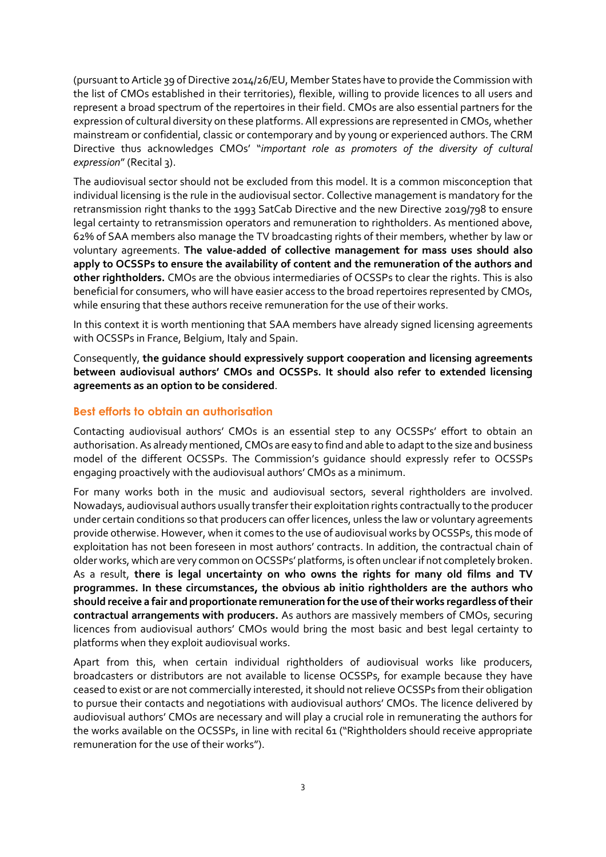(pursuant to Article 39 of Directive 2014/26/EU, Member States have to provide the Commission with the list of CMOs established in their territories), flexible, willing to provide licences to all users and represent a broad spectrum of the repertoires in their field. CMOs are also essential partners for the expression of cultural diversity on these platforms. All expressions are represented in CMOs, whether mainstream or confidential, classic or contemporary and by young or experienced authors. The CRM Directive thus acknowledges CMOs' "*important role as promoters of the diversity of cultural expression*" (Recital 3).

The audiovisual sector should not be excluded from this model. It is a common misconception that individual licensing is the rule in the audiovisual sector. Collective management is mandatory for the retransmission right thanks to the 1993 SatCab Directive and the new Directive 2019/798 to ensure legal certainty to retransmission operators and remuneration to rightholders. As mentioned above, 62% of SAA members also manage the TV broadcasting rights of their members, whether by law or voluntary agreements. **The value-added of collective management for mass uses should also apply to OCSSPs to ensure the availability of content and the remuneration of the authors and other rightholders.** CMOs are the obvious intermediaries of OCSSPs to clear the rights. This is also beneficial for consumers, who will have easier access to the broad repertoires represented by CMOs, while ensuring that these authors receive remuneration for the use of their works.

In this context it is worth mentioning that SAA members have already signed licensing agreements with OCSSPs in France, Belgium, Italy and Spain.

Consequently, **the guidance should expressively support cooperation and licensing agreements between audiovisual authors' CMOs and OCSSPs. It should also refer to extended licensing agreements as an option to be considered**.

## **Best efforts to obtain an authorisation**

Contacting audiovisual authors' CMOs is an essential step to any OCSSPs' effort to obtain an authorisation. As already mentioned, CMOs are easy to find and able to adapt to the size and business model of the different OCSSPs. The Commission's guidance should expressly refer to OCSSPs engaging proactively with the audiovisual authors' CMOs as a minimum.

For many works both in the music and audiovisual sectors, several rightholders are involved. Nowadays, audiovisual authors usually transfer their exploitation rights contractually to the producer under certain conditions so that producers can offer licences, unless the law or voluntary agreements provide otherwise. However, when it comes to the use of audiovisual works by OCSSPs, this mode of exploitation has not been foreseen in most authors' contracts. In addition, the contractual chain of older works, which are very common on OCSSPs' platforms, is often unclear if not completely broken. As a result, **there is legal uncertainty on who owns the rights for many old films and TV programmes. In these circumstances, the obvious ab initio rightholders are the authors who should receive a fair and proportionate remuneration for the use of their works regardless of their contractual arrangements with producers.** As authors are massively members of CMOs, securing licences from audiovisual authors' CMOs would bring the most basic and best legal certainty to platforms when they exploit audiovisual works.

Apart from this, when certain individual rightholders of audiovisual works like producers, broadcasters or distributors are not available to license OCSSPs, for example because they have ceased to exist or are not commercially interested, it should not relieve OCSSPs from their obligation to pursue their contacts and negotiations with audiovisual authors' CMOs. The licence delivered by audiovisual authors' CMOs are necessary and will play a crucial role in remunerating the authors for the works available on the OCSSPs, in line with recital 61 ("Rightholders should receive appropriate remuneration for the use of their works").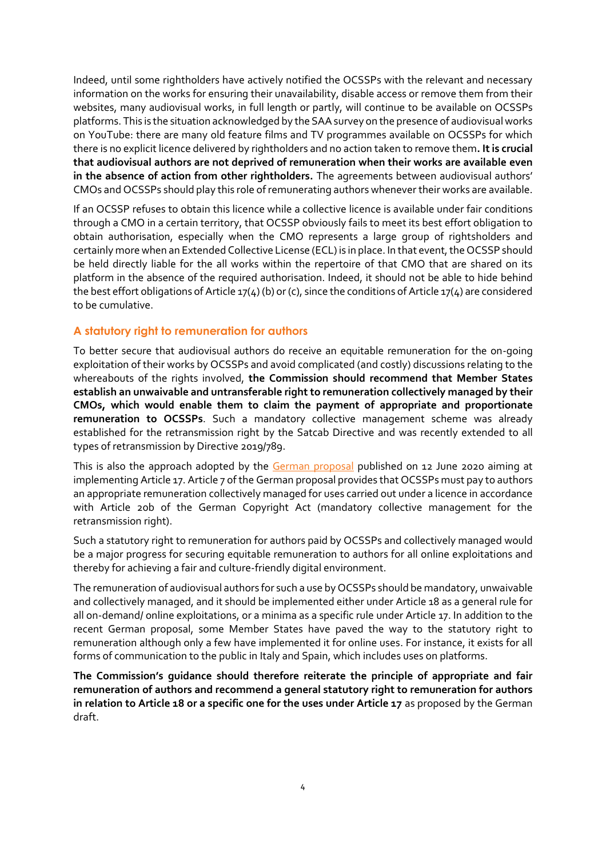Indeed, until some rightholders have actively notified the OCSSPs with the relevant and necessary information on the works for ensuring their unavailability, disable access or remove them from their websites, many audiovisual works, in full length or partly, will continue to be available on OCSSPs platforms. This is the situation acknowledged by the SAA survey on the presence of audiovisual works on YouTube: there are many old feature films and TV programmes available on OCSSPs for which there is no explicit licence delivered by rightholders and no action taken to remove them**. It is crucial that audiovisual authors are not deprived of remuneration when their works are available even in the absence of action from other rightholders.** The agreements between audiovisual authors' CMOs and OCSSPs should play this role of remunerating authors whenever their works are available.

If an OCSSP refuses to obtain this licence while a collective licence is available under fair conditions through a CMO in a certain territory, that OCSSP obviously fails to meet its best effort obligation to obtain authorisation, especially when the CMO represents a large group of rightsholders and certainly more when an Extended Collective License (ECL) is in place. In that event, the OCSSP should be held directly liable for the all works within the repertoire of that CMO that are shared on its platform in the absence of the required authorisation. Indeed, it should not be able to hide behind the best effort obligations of Article 17(4) (b) or (c), since the conditions of Article 17(4) are considered to be cumulative.

#### **A statutory right to remuneration for authors**

To better secure that audiovisual authors do receive an equitable remuneration for the on-going exploitation of their works by OCSSPs and avoid complicated (and costly) discussions relating to the whereabouts of the rights involved, **the Commission should recommend that Member States establish an unwaivable and untransferable right to remuneration collectively managed by their CMOs, which would enable them to claim the payment of appropriate and proportionate remuneration to OCSSPs**. Such a mandatory collective management scheme was already established for the retransmission right by the Satcab Directive and was recently extended to all types of retransmission by Directive 2019/789.

This is also the approach adopted by the [German proposal](https://www.bmjv.de/SharedDocs/Gesetzgebungsverfahren/Dokumente/DiskE_II_Anpassung%20Urheberrecht_digitaler_Binnenmarkt_englischeInfo.pdf;jsessionid=A7E7F468EB1083BAA171FCE49FC2CB92.1_cid324?__blob=publicationFile&v=4) published on 12 June 2020 aiming at implementing Article 17. Article 7 of the German proposal provides that OCSSPs must pay to authors an appropriate remuneration collectively managed for uses carried out under a licence in accordance with Article 20b of the German Copyright Act (mandatory collective management for the retransmission right).

Such a statutory right to remuneration for authors paid by OCSSPs and collectively managed would be a major progress for securing equitable remuneration to authors for all online exploitations and thereby for achieving a fair and culture-friendly digital environment.

The remuneration of audiovisual authors for such a use by OCSSPs should be mandatory, unwaivable and collectively managed, and it should be implemented either under Article 18 as a general rule for all on-demand/ online exploitations, or a minima as a specific rule under Article 17. In addition to the recent German proposal, some Member States have paved the way to the statutory right to remuneration although only a few have implemented it for online uses. For instance, it exists for all forms of communication to the public in Italy and Spain, which includes uses on platforms.

**The Commission's guidance should therefore reiterate the principle of appropriate and fair remuneration of authors and recommend a general statutory right to remuneration for authors in relation to Article 18 or a specific one for the uses under Article 17** as proposed by the German draft.